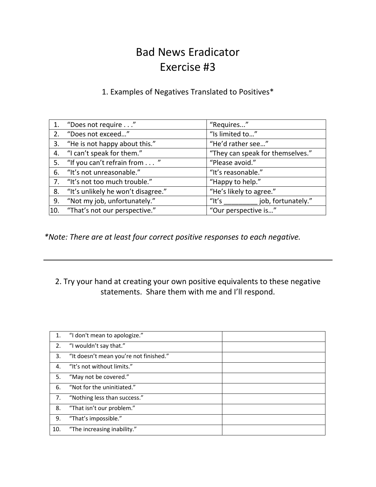# Bad News Eradicator Exercise #3

#### 1. Examples of Negatives Translated to Positives\*

| 1.  | "Does not require"                 | "Requires"                       |
|-----|------------------------------------|----------------------------------|
| 2.  | "Does not exceed"                  | "Is limited to"                  |
| 3.  | "He is not happy about this."      | "He'd rather see"                |
| 4.  | "I can't speak for them."          | "They can speak for themselves." |
| 5.  | "If you can't refrain from "       | "Please avoid."                  |
| 6.  | "It's not unreasonable."           | "It's reasonable."               |
| 7.  | "It's not too much trouble."       | "Happy to help."                 |
| 8.  | "It's unlikely he won't disagree." | "He's likely to agree."          |
| 9.  | "Not my job, unfortunately."       | job, fortunately."<br>$"$ It's   |
| 10. | "That's not our perspective."      | "Our perspective is"             |

*\*Note: There are at least four correct positive responses to each negative.*

### 2. Try your hand at creating your own positive equivalents to these negative statements. Share them with me and I'll respond.

| 1.  | "I don't mean to apologize."           |
|-----|----------------------------------------|
| 2.  | "I wouldn't say that."                 |
| 3.  | "It doesn't mean you're not finished." |
| 4.  | "It's not without limits."             |
| 5.  | "May not be covered."                  |
| 6.  | "Not for the uninitiated."             |
| 7.  | "Nothing less than success."           |
| 8.  | "That isn't our problem."              |
| 9.  | "That's impossible."                   |
| 10. | "The increasing inability."            |